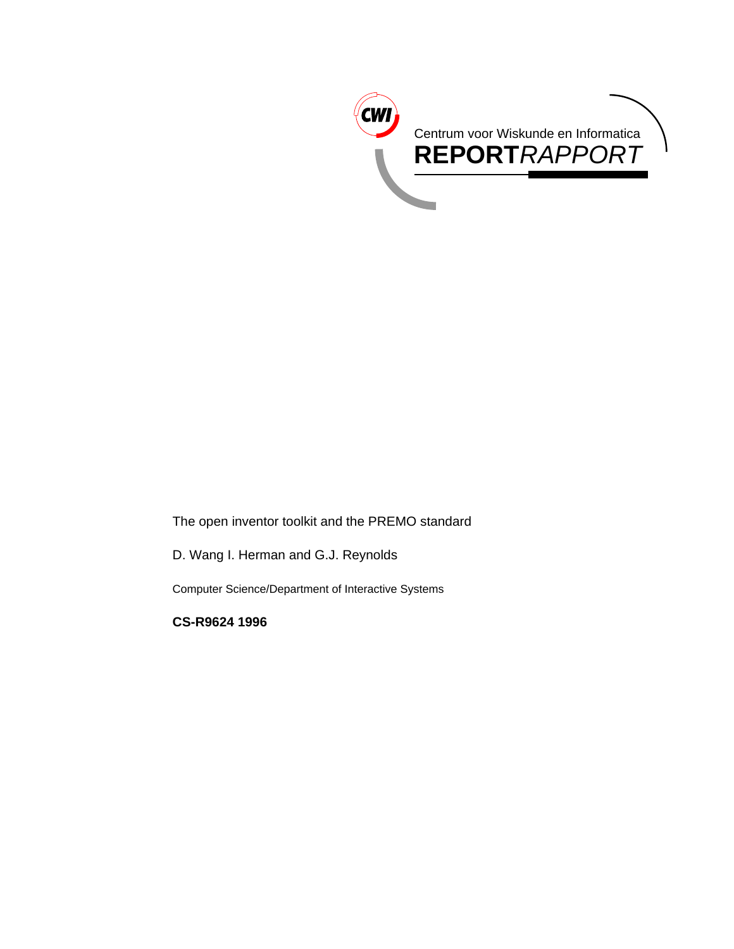

The open inventor toolkit and the PREMO standard

D. Wang I. Herman and G.J. Reynolds

Computer Science/Department of Interactive Systems

**CS-R9624 1996**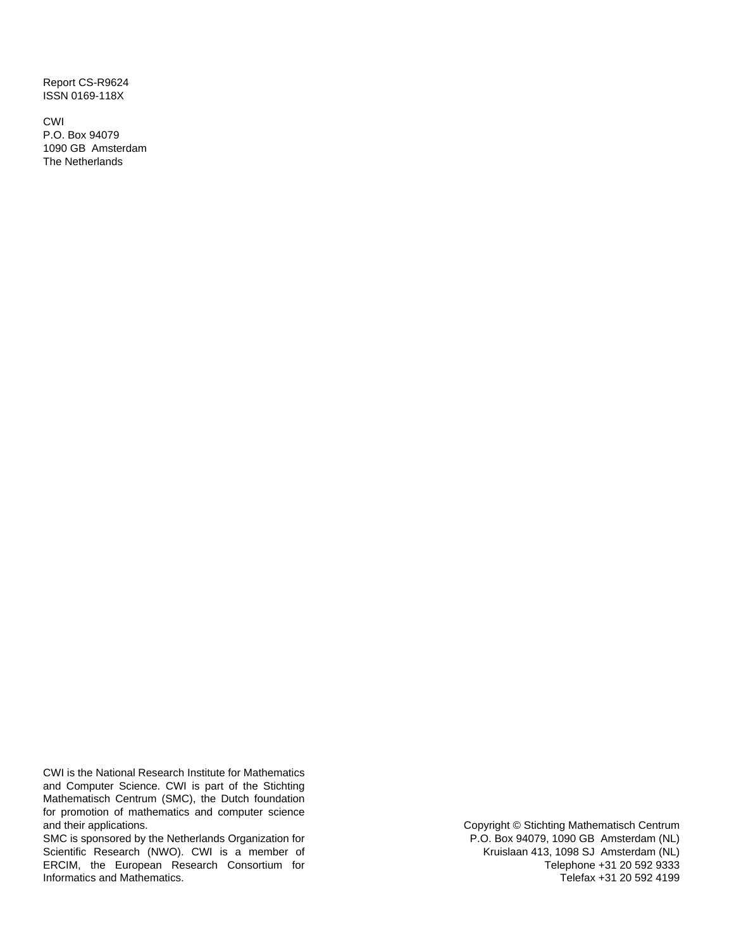Report CS-R9624 ISSN 0169-118X

CWI P.O. Box 94079 1090 GB Amsterdam The Netherlands

CWI is the National Research Institute for Mathematics and Computer Science. CWI is part of the Stichting Mathematisch Centrum (SMC), the Dutch foundation for promotion of mathematics and computer science and their applications.

SMC is sponsored by the Netherlands Organization for Scientific Research (NWO). CWI is a member of ERCIM, the European Research Consortium for Informatics and Mathematics.

Copyright © Stichting Mathematisch Centrum P.O. Box 94079, 1090 GB Amsterdam (NL) Kruislaan 413, 1098 SJ Amsterdam (NL) Telephone +31 20 592 9333 Telefax +31 20 592 4199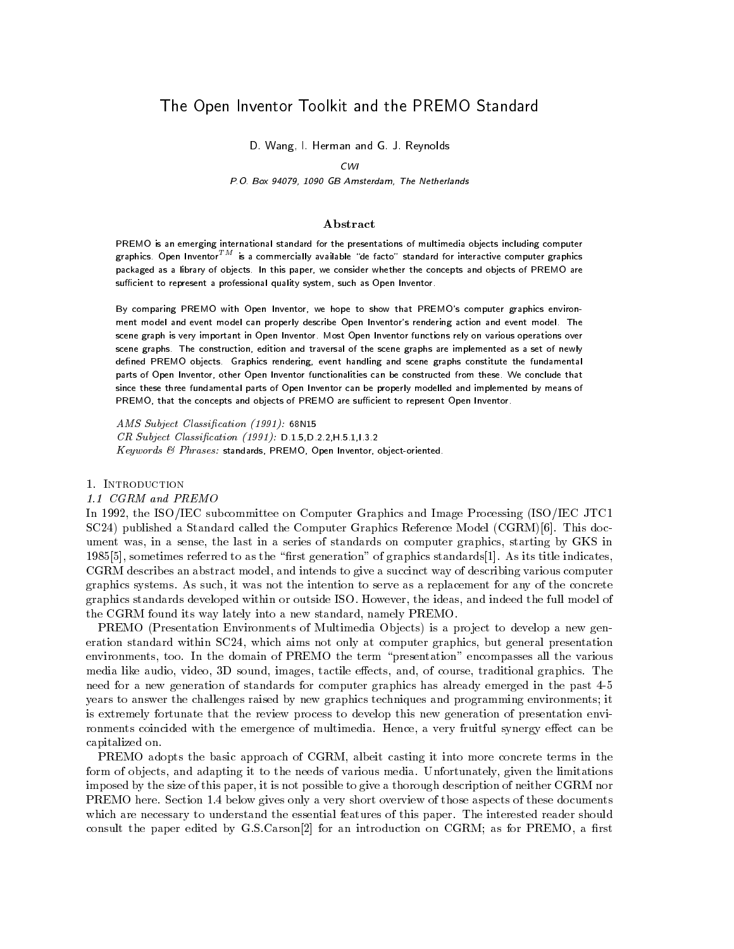# The Open Inventor Toolkit and the PREMO Standard

s and G-man and G-man and G-man and G-man and G-man and G-man and G-man and G-man and G-man and G-man and G-ma

### $CWI$

### P-O- Box GB Amsterdam The Netherlands

# Abstract

PREMO is an emerging international standard for the presentations of multimedia objects including computergraphics. Open InventorTM is a commercially available "de facto" standard for interactive computer graphics in packaged as a library of objects- In this paper we consider whether the concepts and objects of PREMO are sufficient to represent a professional quality system, such as Open Inventor.

By comparing PREMO with Open Inventor we hope to show that PREMOs computer graphics environ ment model and event model can properly describe Open Inventors rendering action and event model- The scene graph is very important in Open Inventor- Most Open Inventor functions rely on various operations over scene graphs- The construction edition and traversal of the scene graphs are implemented as a set of newly defined PREMO objects. Graphics rendering, event handling and scene graphs constitute the fundamental parts of Open Inventor other Open Inventor functionalities can be constructed from these- We conclude that since these three fundamental parts of Open Inventor can be properly modelled and implemented by means ofPREMO, that the concepts and objects of PREMO are sufficient to represent Open Inventor.

 $\frac{1}{2}$  .  $\frac{1}{2}$  .  $\frac{1}{2}$  .  $\frac{1}{2}$  .  $\frac{1}{2}$  .  $\frac{1}{2}$  .  $\frac{1}{2}$  .  $\frac{1}{2}$  .  $\frac{1}{2}$ CR Subject Classi-cation D--D--H--I-- $Keywords$  &  $Phrases:$  standards, PREMO, Open Inventor, object-oriented.

1. INTRODUCTION

In - the ISOIEC subcommittee on Computer Graphics and Image Processing ISOIEC JTCs since published a standard called the Computer Computer Although the Computer Computer Model Called Catalogue ument was, in a sense, the last in a series of standards on computer graphics, starting by GKS in -  sometimes referred to as the rst generation of graphics standards - As its title indicates CGRM describes an abstract model, and intends to give a succinct way of describing various computer graphics systems As such it was not the intention to serve as a replacement for any of the concrete graphics standards developed within or outside ISO
 However the ideas and indeed the full model of the CGRM found its way lately into a new standard, namely PREMO.

PREMO (Presentation Environments of Multimedia Objects) is a project to develop a new generation standard within SC24, which aims not only at computer graphics, but general presentation environments, too. In the domain of PREMO the term "presentation" encompasses all the various media like audio, video, 3D sound, images, tactile effects, and, of course, traditional graphics. The need for a new generation of standards for computer graphics has already emerged in the past years to answer the challenges raised by new graphics techniques and programming environments it is extremely fortunate that the review process to develop this new generation of presentation envi ronments coincided with the emergence of multimedia. Hence, a very fruitful synergy effect can be capitalized on

PREMO adopts the basic approach of CGRM, albeit casting it into more concrete terms in the form of objects, and adapting it to the needs of various media. Unfortunately, given the limitations imposed by the size of this paper, it is not possible to give a thorough description of neither CGRM nor , below gives only a very short order that the short overview of these documents of these documents of the short which are necessary to understand the essential features of this paper The interested reader should consult the paper edited by Given for the international control to an international consultation on  $\mathbb{R}^n$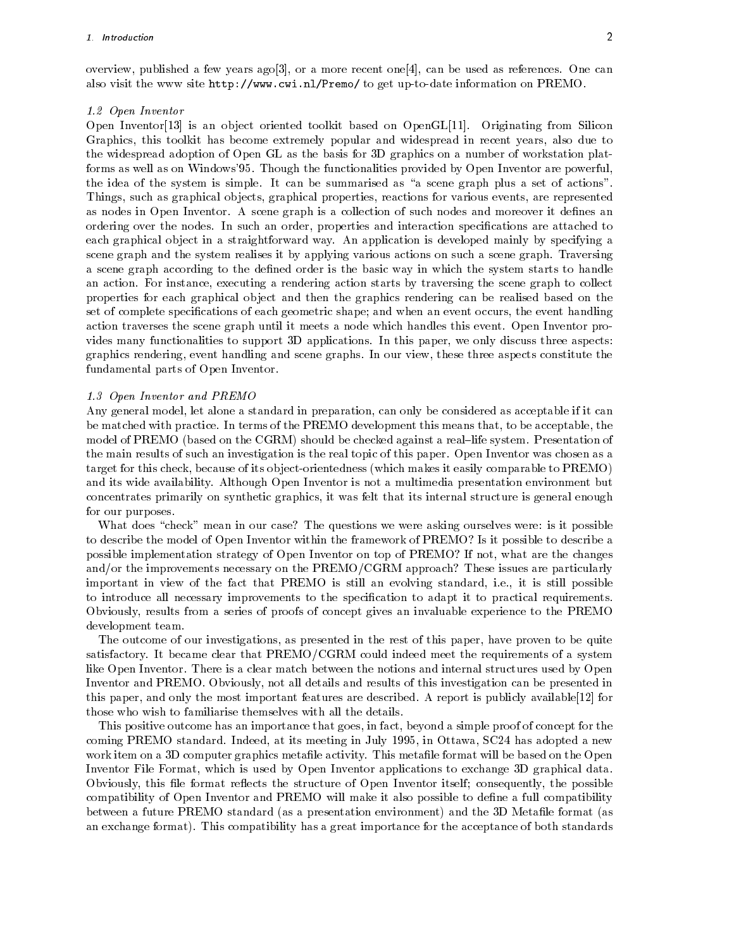over the published a few years ago ply the communications of the can be used as references to the cannot be used also visit the www.site http-,,, www.site information on Premo to show the site in Premo to a line in

### - Open Inventor

open Inventory is an original continued to the compact of the compact of the compact of the continues of the compact of the compact of the compact of the compact of the compact of the compact of the compact of the compact Graphics, this toolkit has become extremely popular and widespread in recent years, also due to the widespread adoption of Open GL as the basis for 3D graphics on a number of workstation platforms as well as on Windows'95. Though the functionalities provided by Open Inventor are powerful, the idea of the system is simple. It can be summarised as "a scene graph plus a set of actions". Things, such as graphical objects, graphical properties, reactions for various events, are represented as nodes in Open Inventor. A scene graph is a collection of such nodes and moreover it defines an ordering over the nodes. In such an order, properties and interaction specifications are attached to each graphical object in a straightforward way. An application is developed mainly by specifying a scene graph and the system realises it by applying various actions on such a scene graph. Traversing a scene graph according to the defined order is the basic way in which the system starts to handle an action For instance executing a rendering action starts by traversing the scene graph to collect properties for each graphical ob ject and then the graphics rendering can be realised based on the set of complete specifications of each geometric shape; and when an event occurs, the event handling action traverses the scene graph until it meets a node which handles this event Open Inventor pro vides many functionalities to support 3D applications. In this paper, we only discuss three aspects: graphics rendering event handling and scene graphs In our view these three aspects constitute the fundamental parts of Open Inventor

### - Open Inventor and PREMOVE in the Second Communication and PREMOVE in the Second Communication and PREMOVE in

Any general model, let alone a standard in preparation, can only be considered as acceptable if it can be matched with practice. In terms of the PREMO development this means that, to be acceptable, the model of PREMO (based on the CGRM) should be checked against a real-life system. Presentation of the main results of such an investigation is the real topic of this paper Open Inventor was chosen as a target for this check, because of its object-orientedness (which makes it easily comparable to PREMO) and its wide availability Although Open Inventor is not a multimedia presentation environment but concentrates primarily on synthetic graphics it was felt that its internal structure is general enough for our purposes

What does "check" mean in our case? The questions we were asking ourselves were is it possible to describe the model of Open Inventor within the framework of PREMO? Is it possible to describe a possible implementation strategy of Open Inventor on top of PREMO? If not, what are the changes and/or the improvements necessary on the  $PREMO/CGRM$  approach? These issues are particularly important in view of the fact that PREMO is still an evolving standard, i.e., it is still possible to introduce all necessary improvements to the specification to adapt it to practical requirements. Obviously results from a series of proofs of concept gives an invaluable experience to the PREMO development team

The outcome of our investigations, as presented in the rest of this paper, have proven to be quite satisfactory. It became clear that PREMO/CGRM could indeed meet the requirements of a system like Open Inventor. There is a clear match between the notions and internal structures used by Open Inventor and PREMO
 Obviously not all details and results of this investigation can be presented in this paper, which implement features and positions are described and the paper of powerful available paper of those who wish to familiarise themselves with all the details

This positive outcome has an importance that goes, in fact, beyond a simple proof of concept for the coming PREMO standard Indeed at its meeting in July - in Ottawa SC has adopted a new work item on a 3D computer graphics metafile activity. This metafile format will be based on the Open Inventor File Format, which is used by Open Inventor applications to exchange 3D graphical data. Obviously, this file format reflects the structure of Open Inventor itself; consequently, the possible compatibility of Open Inventor and PREMO will make it also possible to define a full compatibility between a future PREMO standard (as a presentation environment) and the 3D Metafile format (as an exchange format). This compatibility has a great importance for the acceptance of both standards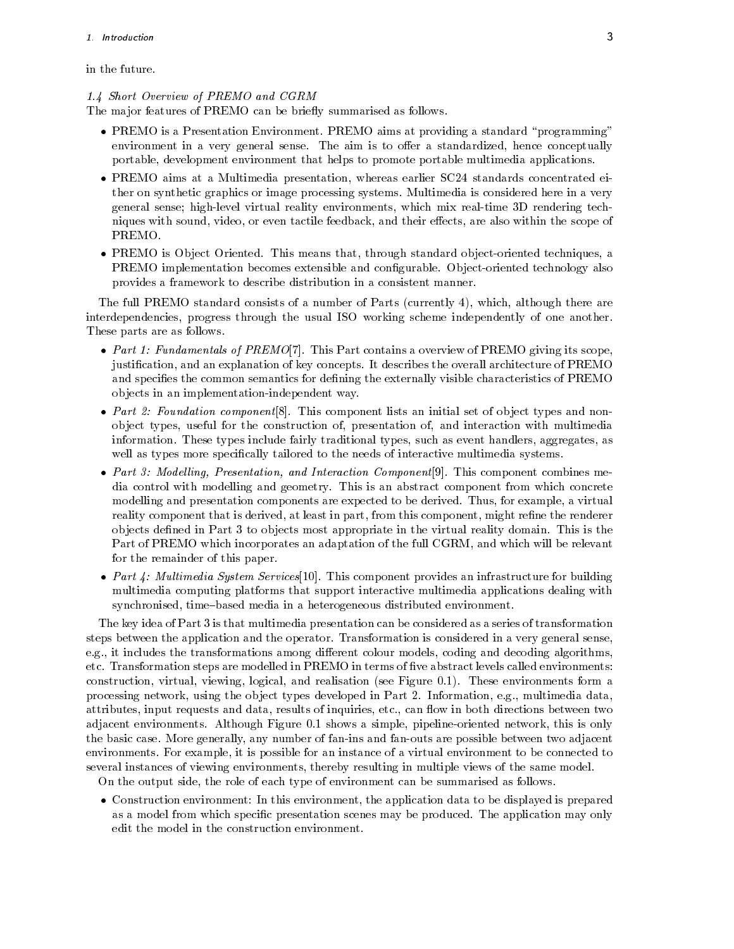# in the future

# - Short Overview of PREMO and CGRM

The major features of PREMO can be briefly summarised as follows.

- PREMO is a Presentation Environment PREMO aims at providing a standard programming environment in a very general sense. The aim is to offer a standardized, hence conceptually portable development environment that helps to promote portable multimedia applications
- PREMO aims at a Multimedia presentation whereas earlier SC standards concentrated ei ther on synthetic graphics or image processing systems Multimedia is considered here in a very general sense; high-level virtual reality environments, which mix real-time 3D rendering techniques with sound, video, or even tactile feedback, and their effects, are also within the scope of PREMO
- PREMO is Ob ject Oriented This means that through standard ob jectoriented techniques a PREMO implementation becomes extensible and configurable. Object-oriented technology also provides a framework to describe distribution in a consistent manner

The full PREMO standard consists of a number of Parts (currently 4), which, although there are interdependencies, progress through the usual ISO working scheme independently of one another. These parts are as follows

- . This Part contains a overview of Premote the Premote scope its scope of Premote and Premote its scope its scope justification, and an explanation of key concepts. It describes the overall architecture of PREMO and specifies the common semantics for defining the externally visible characteristics of PREMO objects in an implementation-independent way.
- Part Foundation component  This component lists an initial set of ob ject types and non object types, useful for the construction of, presentation of, and interaction with multimedia information. These types include fairly traditional types, such as event handlers, aggregates, as well as types more specifically tailored to the needs of interactive multimedia systems.
- Part Model ling Presentation and Interaction Component  This component combines me dia control with modelling and geometry This is an abstract component from which concrete modelling and presentation components are expected to be derived. Thus, for example, a virtual reality component that is derived, at least in part, from this component, might refine the renderer objects defined in Part 3 to objects most appropriate in the virtual reality domain. This is the Part of PREMO which incorporates an adaptation of the full CGRM, and which will be relevant for the remainder of this paper
- re and the component of the street street street and the services and the street and the street of the street o multimedia computing platforms that support interactive multimedia applications dealing with synchronised, time-based media in a heterogeneous distributed environment.

The key idea of Part 3 is that multimedia presentation can be considered as a series of transformation steps between the application and the operator. Transformation is considered in a very general sense, e.g., it includes the transformations among different colour models, coding and decoding algorithms, etc. Transformation steps are modelled in PREMO in terms of five abstract levels called environments: construction virtual viewing logical and realisation see Figure - These environments form a processing network, using the object types developed in Part 2. Information, e.g., multimedia data, attributes, input requests and data, results of inquiries, etc., can flow in both directions between two adjacent and include the simple pipeline and when the simple pipelines there is only the simple complete  $\mathcal{A}$ the basic case More generally any number of fanins and fanouts are possible between two adjacent environments For example it is possible for an instance of a virtual environment to be connected to several instances of viewing environments, thereby resulting in multiple views of the same model.

On the output side, the role of each type of environment can be summarised as follows.

 Construction environment In this environment the application data to be displayed is prepared as a model from which specific presentation scenes may be produced. The application may only edit the model in the construction environment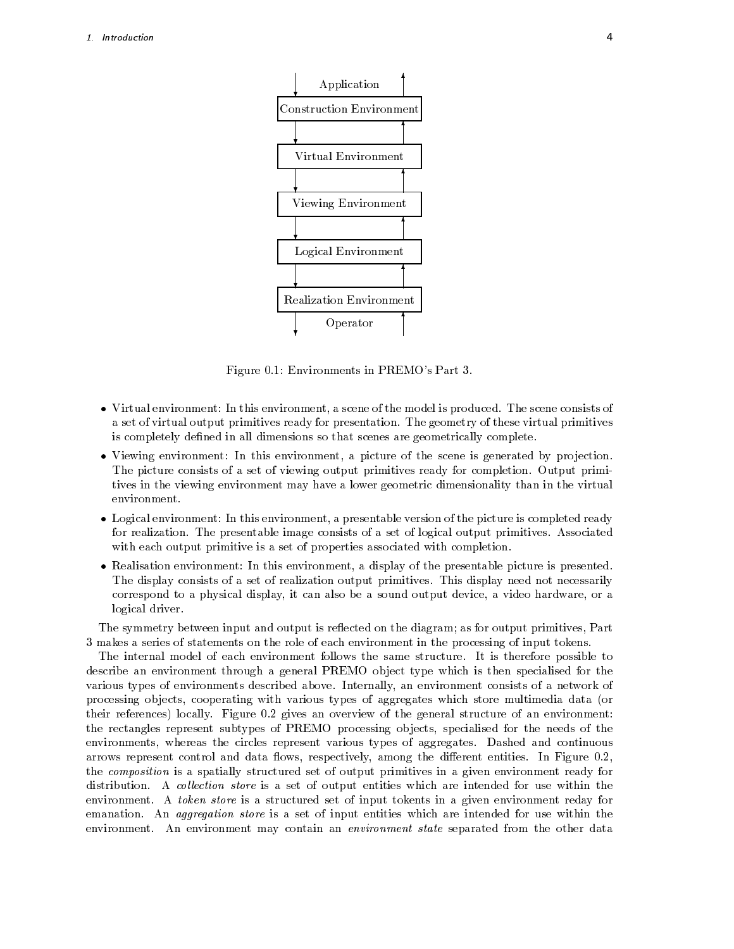

Figure 
- Environments in PREMOs Part

- Virtual environment In this environment a scene of the model is produced The scene consists of a set of virtual output primitives ready for presentation. The geometry of these virtual primitives is completely defined in all dimensions so that scenes are geometrically complete.
- Viewing environment In this environment a picture of the scene is generated by pro jection The picture consists of a set of viewing output primitives ready for completion. Output primitives in the viewing environment may have a lower geometric dimensionality than in the virtual environment
- Logical environment In this environment a presentable version of the picture is completed ready for realization The presentable image consists of a set of logical output primitives Associated with each output primitive is a set of properties associated with completion.
- Realisation environment In this environment a display of the presentable picture is presented The display consists of a set of realization output primitives This display need not necessarily correspond to a physical display, it can also be a sound output device, a video hardware, or a logical driver

The symmetry between input and output is reflected on the diagram; as for output primitives, Part 3 makes a series of statements on the role of each environment in the processing of input tokens.

The internal model of each environment follows the same structure. It is therefore possible to describe an environment through a general PREMO object type which is then specialised for the various types of environments described above Internally an environment consists of a network of processing objects, cooperating with various types of aggregates which store multimedia data (or their references) locally. Figure 0.2 gives an overview of the general structure of an environment: the rectangles represent subtypes of PREMO processing objects, specialised for the needs of the environments, whereas the circles represent various types of aggregates. Dashed and continuous arrows represent control and data flows, respectively, among the different entities. In Figure 0.2, the composition is a spatially structured set of output primitives in a given environment ready for distribution. A collection store is a set of output entities which are intended for use within the environment. A *token store* is a structured set of input tokents in a given environment reday for emanation. An *aggregation store* is a set of input entities which are intended for use within the environment An environment may contain an environment state separated from the other data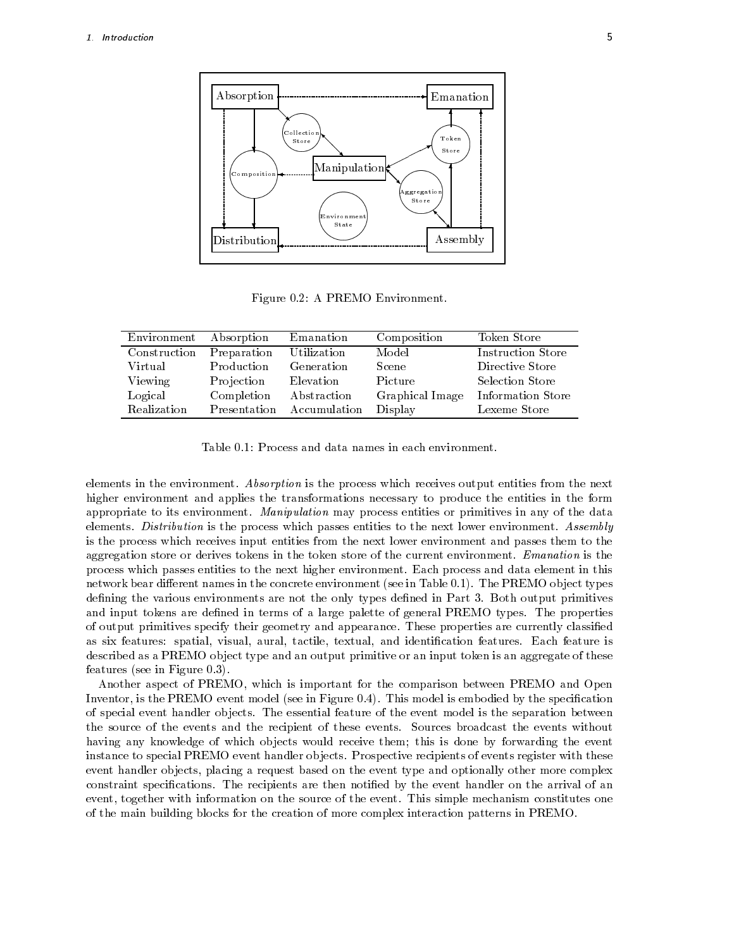

| Environment  | Absorption   | Emanation    | Composition     | Token Store       |
|--------------|--------------|--------------|-----------------|-------------------|
| Construction | Preparation  | Utilization  | Model           | Instruction Store |
| Virtual      | Production   | Generation   | Scene           | Directive Store   |
| Viewing      | Projection   | Elevation    | Picture         | Selection Store   |
| Logical      | Completion   | Abstraction  | Graphical Image | Information Store |
| Realization  | Presentation | Accumulation | Display         | Lexeme Store      |

elements in the environment. Absorption is the process which receives output entities from the next higher environment and applies the transformations necessary to produce the entities in the form appropriate to its environment. Manipulation may process entities or primitives in any of the data elements. Distribution is the process which passes entities to the next lower environment. Assembly is the process which receives input entities from the next lower environment and passes them to the aggregation store or derives tokens in the token store of the current environment Emanation is the process which passes entities to the next higher environment Each process and data element in this network bear dierent names in the concrete environment see in Table 
- The PREMO ob ject types defining the various environments are not the only types defined in Part 3. Both output primitives and input tokens are defined in terms of a large palette of general PREMO types. The properties of output primitives specify their geometry and appearance. These properties are currently classified as six features: spatial, visual, aural, tactile, textual, and identification features. Each feature is described as a PREMO object type and an output primitive or an input token is an aggregate of these features (see in Figure  $0.3$ ).

Another aspect of PREMO which isimportant for the comparison between PREMO and Open Inventor, is the PREMO event model (see in Figure  $0.4$ ). This model is embodied by the specification of special event handler objects. The essential feature of the event model is the separation between the source of the events and the recipient of these events Sources broadcast the events without having any knowledge of which objects would receive them; this is done by forwarding the event instance to special PREMO event handler ob jects Prospective recipients of events register with these event handler objects, placing a request based on the event type and optionally other more complex constraint specifications. The recipients are then notified by the event handler on the arrival of an event, together with information on the source of the event. This simple mechanism constitutes one of the main building blocks for the creation of more complex interaction patterns in PREMO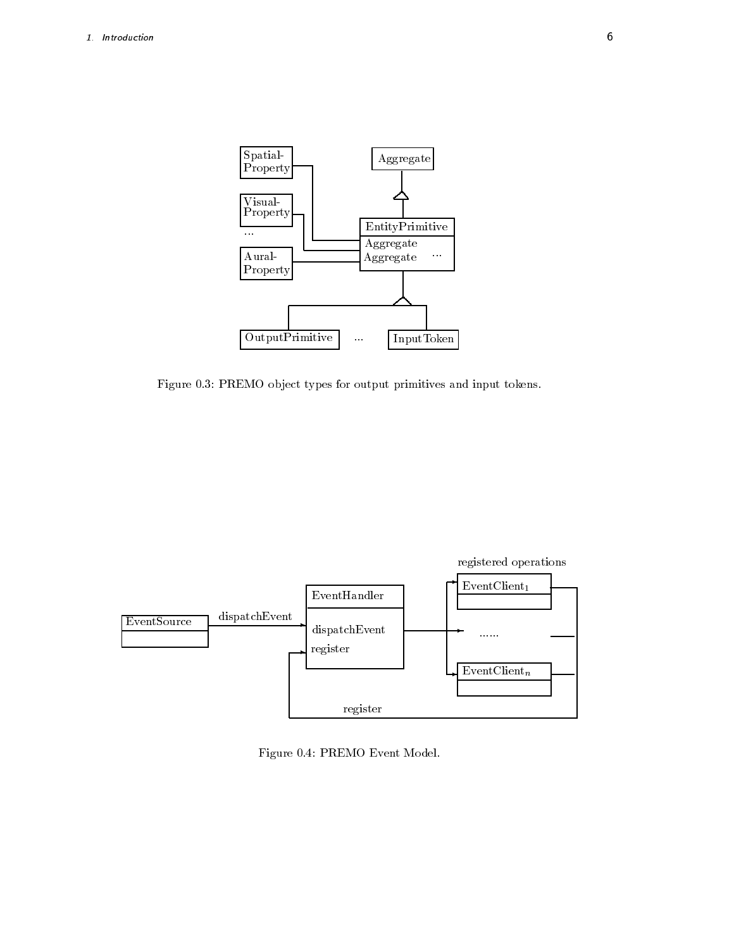

Figure 0.3: PREMO object types for output primitives and input tokens.



Figure 0.4: PREMO Event Model.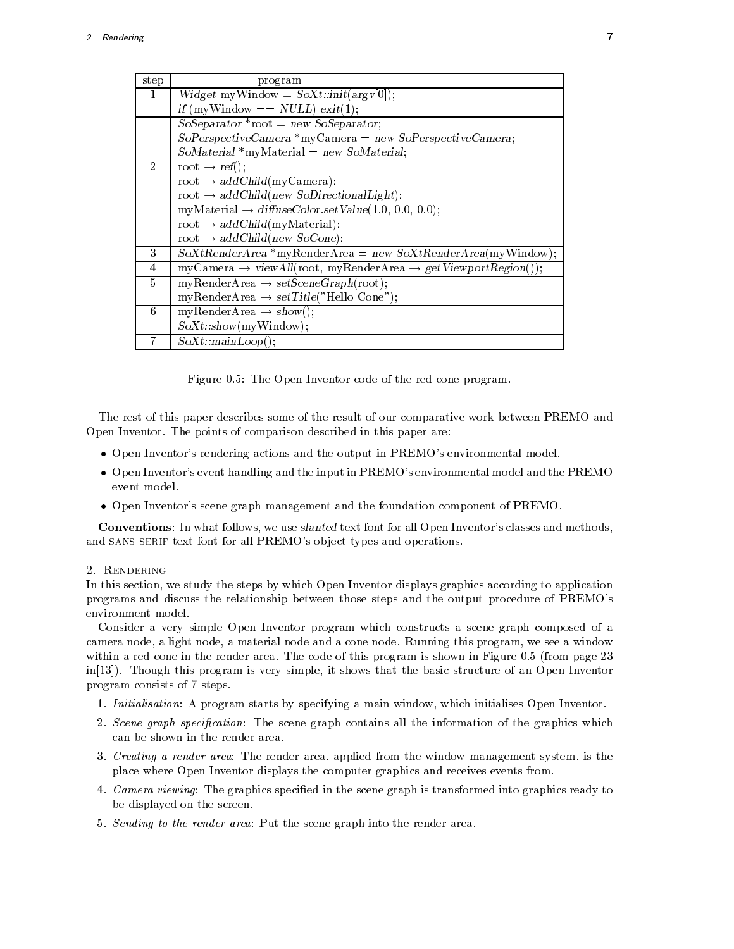| step           | program                                                                             |  |  |
|----------------|-------------------------------------------------------------------------------------|--|--|
| 1              | $Widget$ myWindow = $SoXt::init(argv[0])$ ;                                         |  |  |
|                | if (myWindow == $NULL$ ) exit(1);                                                   |  |  |
|                | $SoSeparator * root = new SoSeparator;$                                             |  |  |
|                | $SoPerspective Camera * myCamera = new SoPerspective Camera;$                       |  |  |
|                | $So Material *myMaterial = new SoMaterial.$                                         |  |  |
| $\overline{2}$ | root $\rightarrow$ ref();                                                           |  |  |
|                | root $\rightarrow addChild(myCamera)$ ;                                             |  |  |
|                | root $\rightarrow$ addChild(new SoDirectionalLight);                                |  |  |
|                | myMaterial $\rightarrow$ diffuseColor.setValue(1.0, 0.0, 0.0);                      |  |  |
|                | root $\rightarrow$ addChild(myMaterial);                                            |  |  |
|                | root $\rightarrow$ addChild(new SoCone);                                            |  |  |
| 3              | $SoXtRenderArea * myRenderArea = new SoXtRenderArea(myWindow);$                     |  |  |
| $\overline{4}$ | $myCamera \rightarrow viewAll(root, myRenderArea \rightarrow getViewportRegion());$ |  |  |
| 5              | myRenderArea $\rightarrow setSeenefraph(root)$ ;                                    |  |  |
|                | myRenderArea $\rightarrow$ setTitle("Hello Cone");                                  |  |  |
| 6              | myRenderArea $\rightarrow$ show();                                                  |  |  |
|                | SoXt::show(myWindow);                                                               |  |  |
|                | $SoXt::mainLoop($ );                                                                |  |  |

Figure 0.5: The Open Inventor code of the red cone program.

The rest of this paper describes some of the result of our comparative work between PREMO and Open Inventor. The points of comparison described in this paper are:

- Open Inventors rendering actions and the output in PREMOs environmental model
- Open Inventors event handling and the input in PREMOs environmental model and the PREMO event model
- Open Inventors scene graph management and the foundation component of PREMO

Conventions: In what follows, we use slanted text font for all Open Inventor's classes and methods, and SANS SERIF text font for all PREMO's object types and operations.

In this section, we study the steps by which Open Inventor displays graphics according to application programs and discuss the relationship between those steps and the output procedure of PREMO's environment model

Consider a very simple Open Inventor program which constructs <sup>a</sup> scene graph composed of <sup>a</sup> camera node, a light node, a material node and a cone node. Running this program, we see a window within a red cone in the render area. The code of this program is shown in Figure  $0.5$  (from page  $23$ in the second is very simple in this program is very simple it simple it simple in the basic structure of an Open Inventory of an Open Inventory of an Open Inventory of an Open Inventory of an Open Inventory of an Open Inv program consists of 7 steps.

- Initialisation A program starts by specifying a main window which initialises Open Inventor
- 2. Scene graph specification: The scene graph contains all the information of the graphics which can be shown in the render area
- 3. Creating a render area: The render area, applied from the window management system, is the place where Open Inventor displays the computer graphics and receives events from
- 4. Camera viewing: The graphics specified in the scene graph is transformed into graphics ready to be displayed on the screen
- 5. Sending to the render area: Put the scene graph into the render area.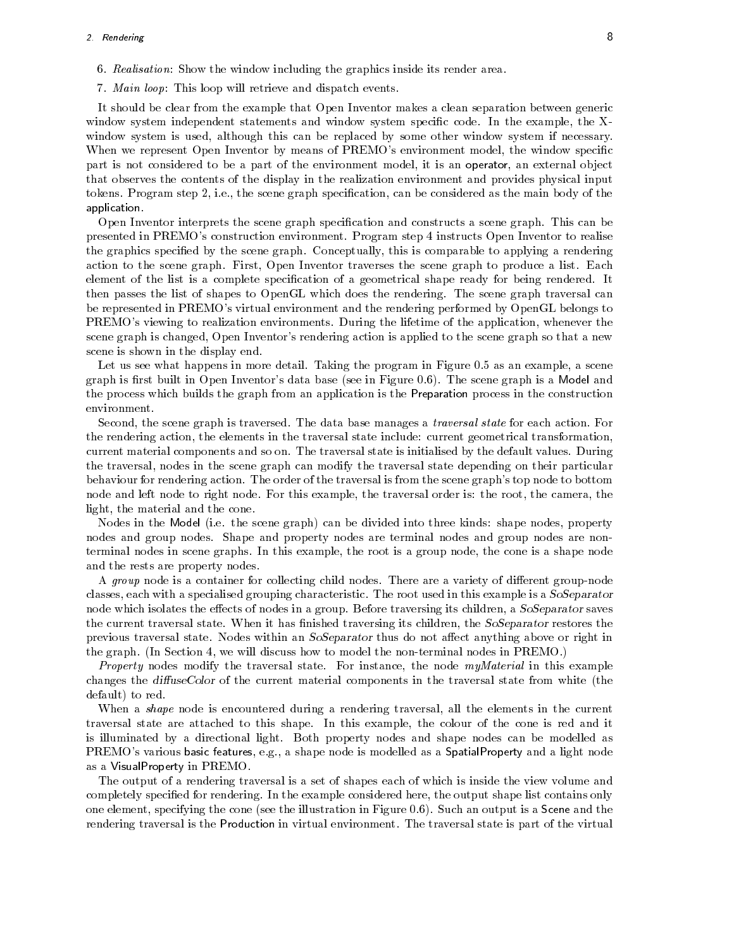- 6. Realisation: Show the window including the graphics inside its render area.
- 7. Main loop: This loop will retrieve and dispatch events.

It should be clear from the example that Open Inventor makes a clean separation between generic window system independent statements and window system specific code. In the example, the Xwindow system is used, although this can be replaced by some other window system if necessary. When we represent Open Inventor by means of PREMO's environment model, the window specific part is not considered to be a part of the environment model, it is an operator, an external object that observes the contents of the display in the realization environment and provides physical input tokens. Program step 2, i.e., the scene graph specification, can be considered as the main body of the application

Open Inventor interprets the scene graph specification and constructs a scene graph. This can be presented in PREMO's construction environment. Program step 4 instructs Open Inventor to realise the graphics specified by the scene graph. Conceptually, this is comparable to applying a rendering action to the scene graph First Open Inventor traverses the scene graph to produce a list Each element of the list is a complete specification of a geometrical shape ready for being rendered. It then passes the list of shapes to OpenGL which does the rendering The scene graph traversal can be represented in PREMO's virtual environment and the rendering performed by OpenGL belongs to PREMO's viewing to realization environments. During the lifetime of the application, whenever the scene graph is changed, Open Inventor's rendering action is applied to the scene graph so that a new scene is shown in the display end

Let us see what happens in more detail. Taking the program in Figure 0.5 as an example, a scene graph is first built in Open Inventor's data base (see in Figure 0.6). The scene graph is a Model and the process which builds the graph from an application is the Preparation process in the construction environment

Second, the scene graph is traversed. The data base manages a *traversal state* for each action. For the rendering action, the elements in the traversal state include: current geometrical transformation, current material components and so on The traversal state is initialised by the default values During the traversal nodes in the scene graph can modify the traversal state depending on their particular behaviour for rendering action. The order of the traversal is from the scene graph's top node to bottom node and left node to right node. For this example, the traversal order is: the root, the camera, the light, the material and the cone.

Nodes in the Model (i.e. the scene graph) can be divided into three kinds: shape nodes, property nodes and group nodes Shape and property nodes are terminal nodes and group nodes are non terminal nodes in scene graphs. In this example, the root is a group node, the cone is a shape node and the rests are property nodes

A group node is a container for collecting child nodes. There are a variety of different group-node classes each with a specialised grouping characteristic The root used in this example is a SoSeparator node which isolates the effects of nodes in a group. Before traversing its children, a SoSeparator saves the current traversal state. When it has finished traversing its children, the SoSeparator restores the previous traversal state. Nodes within an SoSeparator thus do not affect anything above or right in the graph. (In Section 4, we will discuss how to model the non-terminal nodes in PREMO.)

Property nodes modify the traversal state. For instance, the node myMaterial in this example changes the diffuseColor of the current material components in the traversal state from white (the default) to red.

When a *shape* node is encountered during a rendering traversal, all the elements in the current traversal state are attached to this shape. In this example, the colour of the cone is red and it is illuminated by a directional light Both property nodes and shape nodes can be modelled as PREMO's various basic features, e.g., a shape node is modelled as a SpatialProperty and a light node as a VisualProperty in PREMO

The output of a rendering traversal is a set of shapes each of which is inside the view volume and completely specified for rendering. In the example considered here, the output shape list contains only one element, specifying the cone (see the illustration in Figure 0.6). Such an output is a Scene and the rendering traversal is the Production in virtual environment. The traversal state is part of the virtual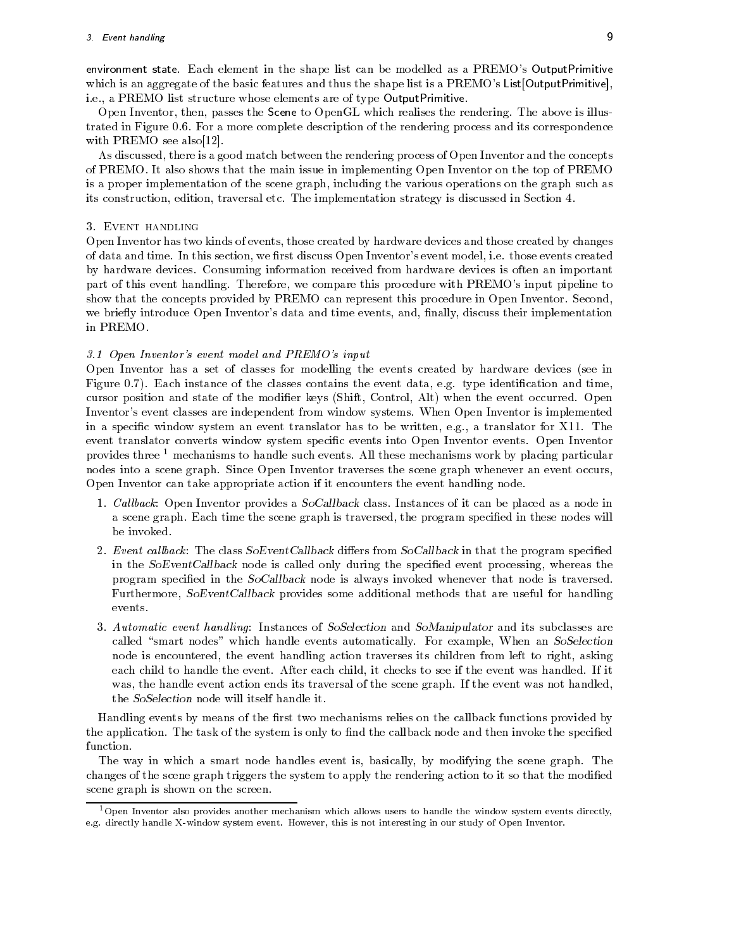environment state. Each element in the shape list can be modelled as a PREMO's OutputPrimitive which is an aggregate of the basic features and thus the shape list is a PREMO's List[OutputPrimitive], i.e., a PREMO list structure whose elements are of type OutputPrimitive.

Open Inventor, then, passes the Scene to OpenGL which realises the rendering. The above is illustrated in Figure 0.6. For a more complete description of the rendering process and its correspondence with Premo see also controlled the premo see also controlled the premo see also controlled the premo see also

As discussed, there is a good match between the rendering process of Open Inventor and the concepts of PREMO
 It also shows that the main issue in implementing Open Inventor on the top of PREMO is a proper implementation of the scene graph including the various operations on the graph such as its construction, edition, traversal etc. The implementation strategy is discussed in Section 4.

Open Inventor has two kinds of events, those created by hardware devices and those created by changes of data and time. In this section, we first discuss Open Inventor's event model, i.e. those events created by hardware devices Consuming information received from hardware devices is often an important part of this event handling. Therefore, we compare this procedure with PREMO's input pipeline to show that the concepts provided by PREMO can represent this procedure in Open Inventor. Second, we briefly introduce Open Inventor's data and time events, and, finally, discuss their implementation in PREMO

### - Open Inventor s event model and PREMO s input

Open Inventor has a set of classes for modelling the events created by hardware devices (see in Figure 0.7). Each instance of the classes contains the event data, e.g. type identification and time, cursor position and state of the modifier keys (Shift, Control, Alt) when the event occurred. Open Inventor's event classes are independent from window systems. When Open Inventor is implemented in a special window system and event translator in the written equal or translator for X-1. event translator converts window system specific events into Open Inventor events. Open Inventor provides three - mechanisms to handle such events All these mechanisms work by placing particular nodes into a scene graph. Since Open Inventor traverses the scene graph whenever an event occurs, Open Inventor can take appropriate action if it encounters the event handling node

- Cal lback Open Inventor provides a SoCallback class Instances of it can be placed as a node in a scene graph. Each time the scene graph is traversed, the program specified in these nodes will be invoked
- 2. Event callback: The class  $SoEventCallback$  differs from  $SoCallback$  in that the program specified in the  $SoEventCallback$  node is called only during the specified event processing, whereas the program specified in the SoCallback node is always invoked whenever that node is traversed. Furthermore, SoEventCallback provides some additional methods that are useful for handling events
- 3. Automatic event handling: Instances of SoSelection and SoManipulator and its subclasses are called "smart nodes" which handle events automatically. For example, When an SoSelection node is encountered, the event handling action traverses its children from left to right, asking each child to handle the event. After each child, it checks to see if the event was handled. If it was, the handle event action ends its traversal of the scene graph. If the event was not handled, the SoSelection node will itself handle it

Handling events by means of the first two mechanisms relies on the callback functions provided by the application. The task of the system is only to find the callback node and then invoke the specified function

The way in which a smart node handles event is, basically, by modifying the scene graph. The changes of the scene graph triggers the system to apply the rendering action to it so that the modied scene graph is shown on the screen

<sup>&</sup>lt;sup>1</sup>Open Inventor also provides another mechanism which allows users to handle the window system events directly, e.g. directly handle A-Window system event. However, this is not interesting in our study of Open Inventor.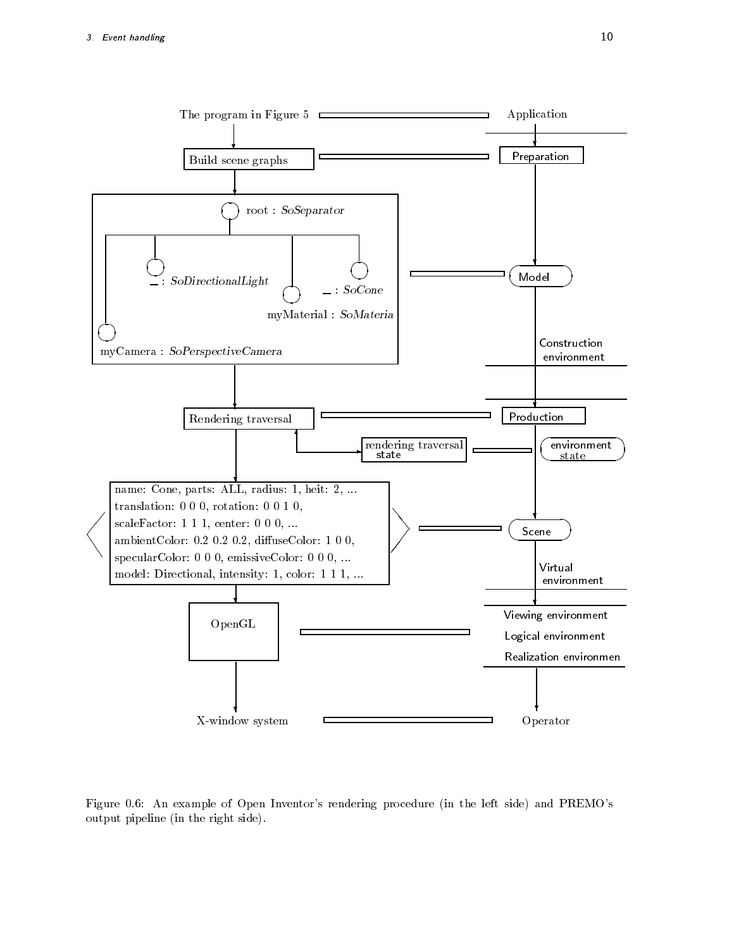

Figure 0.6: An example of Open Inventor's rendering procedure (in the left side) and PREMO's output pipeline (in the right side).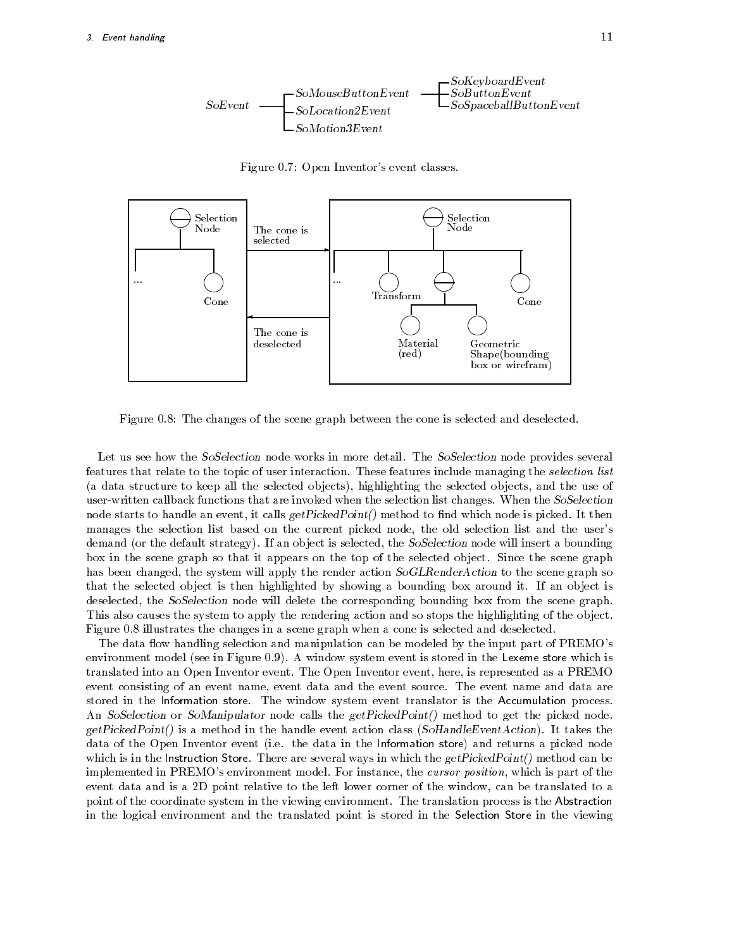

Figure 0.7 Open Inventor's event classes.



Figure 0.8: The changes of the scene graph between the cone is selected and deselected.

Let us see how the SoSelection node works in more detail. The SoSelection node provides several features that relate to the topic of user interaction. These features include managing the *selection list* (a data structure to keep all the selected objects), highlighting the selected objects, and the use of user-written callback functions that are invoked when the selection list changes. When the SoSelection node starts to handle an event, it calls  $getPicedPoint()$  method to find which node is picked. It then manages the selection list based on the current picked node, the old selection list and the user's demand (or the default strategy). If an object is selected, the SoSelection node will insert a bounding box in the scene graph so that it appears on the top of the selected object. Since the scene graph has been changed, the system will apply the render action  $SoGLRenderAction$  to the scene graph so that the selected object is then highlighted by showing a bounding box around it. If an object is deselected, the SoSelection node will delete the corresponding bounding box from the scene graph. This also causes the system to apply the rendering action and so stops the highlighting of the object. Figure 0.8 illustrates the changes in a scene graph when a cone is selected and deselected.

The data flow handling selection and manipulation can be modeled by the input part of PREMO's environment model (see in Figure 0.9). A window system event is stored in the Lexeme store which is translated into an Open Inventor event. The Open Inventor event, here, is represented as a PREMO event consisting of an event name, event data and the event source. The event name and data are stored in the Information store. The window system event translator is the Accumulation process. An SoSelection or SoManipulator node calls the getPickedPoint() method to get the picked node.  $getPickedPoint()$  is a method in the handle event action class (SoHandleEventAction). It takes the data of the Open Inventor event (i.e. the data in the Information store) and returns a picked node which is in the Instruction Store. There are several ways in which the  $getPickedPoint()$  method can be implemented in PREMO's environment model. For instance, the *cursor position*, which is part of the event data and is a 2D point relative to the left lower corner of the window, can be translated to a point of the coordinate system in the viewing environment The translation process is the Abstraction in the logical environment and the translated point is stored in the Selection Store in the viewing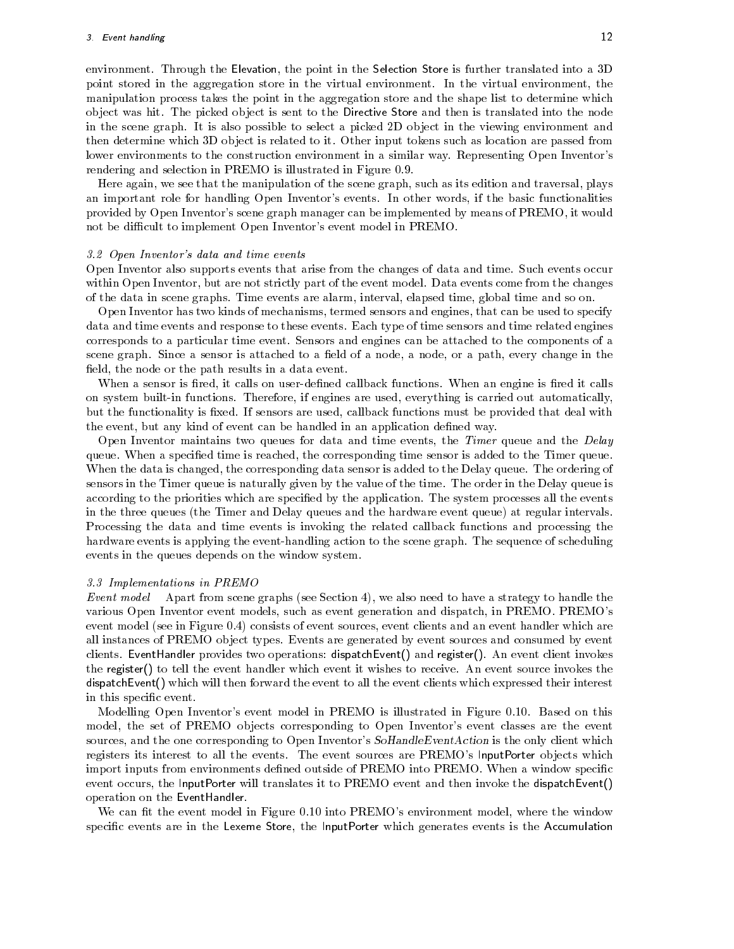environment. Through the Elevation, the point in the Selection Store is further translated into a 3D point stored in the aggregation store in the virtual environment. In the virtual environment, the manipulation process takes the point in the aggregation store and the shape list to determine which object was hit. The picked object is sent to the Directive Store and then is translated into the node in the scene graph. It is also possible to select a picked 2D object in the viewing environment and then determine which 3D object is related to it. Other input tokens such as location are passed from lower environments to the construction environment in a similar way. Representing Open Inventor's rendering and selection in PREMO is illustrated in Figure 0.9.

Here again, we see that the manipulation of the scene graph, such as its edition and traversal, plays an important role for handling Open Inventor's events. In other words, if the basic functionalities provided by Open Inventor's scene graph manager can be implemented by means of PREMO, it would not be difficult to implement Open Inventor's event model in PREMO.

### - Open Inventor and time events and time and time and the second

Open Inventor also supports events that arise from the changes of data and time Such events occur within Open Inventor, but are not strictly part of the event model. Data events come from the changes of the data in scene graphs Time events are alarm interval elapsed time global time and so on

Open Inventor has two kinds of mechanisms termed sensors and engines that can be used to specify data and time events and response to these events Each type of time sensors and time related engines corresponds to a particular time event Sensors and engines can be attached to the components of a scene graph. Since a sensor is attached to a field of a node, a node, or a path, every change in the field, the node or the path results in a data event.

When a sensor is fired, it calls on user-defined callback functions. When an engine is fired it calls on system built-in functions. Therefore, if engines are used, everything is carried out automatically, but the functionality is fixed. If sensors are used, callback functions must be provided that deal with the event, but any kind of event can be handled in an application defined way.

Open Inventor maintains two queues for data and time events, the Timer queue and the Delay queue. When a specified time is reached, the corresponding time sensor is added to the Timer queue. When the data is changed, the corresponding data sensor is added to the Delay queue. The ordering of sensors in the Timer queue is naturally given by the value of the time The order in the Delay queue is according to the priorities which are specified by the application. The system processes all the events in the three queues (the Timer and Delay queues and the hardware event queue) at regular intervals. Processing the data and time events is invoking the related callback functions and processing the hardware events is applying the event-handling action to the scene graph. The sequence of scheduling events in the queues depends on the window system

### - Implementations in Premotions in Premotions in Premotions in Premium and Premium and Premium and Premium and

Event model Apart from scene graphs (see Section 4), we also need to have a strategy to handle the various Open Inventor event models, such as event generation and dispatch, in PREMO. PREMO's event model (see in Figure 0.4) consists of event sources, event clients and an event handler which are all instances of PREMO object types. Events are generated by event sources and consumed by event clients. EventHandler provides two operations: dispatchEvent() and register(). An event client invokes the register() to tell the event handler which event it wishes to receive. An event source invokes the dispatchEvent() which will then forward the event to all the event clients which expressed their interest in this specific event.

Modelling Open Inventors event model in PREMO is illustrated in Figure - Based on this model, the set of PREMO objects corresponding to Open Inventor's event classes are the event sources, and the one corresponding to Open Inventor's  $SolRandleEventAction$  is the only client which registers its interest to all the events. The event sources are PREMO's InputPorter objects which import inputs from environments defined outside of PREMO into PREMO. When a window specific event occurs, the InputPorter will translates it to PREMO event and then invoke the dispatchEvent() operation on the EventHandler

we can the event model in Figure that model into a complete window model where the window  $\alpha$ specific events are in the Lexeme Store, the InputPorter which generates events is the Accumulation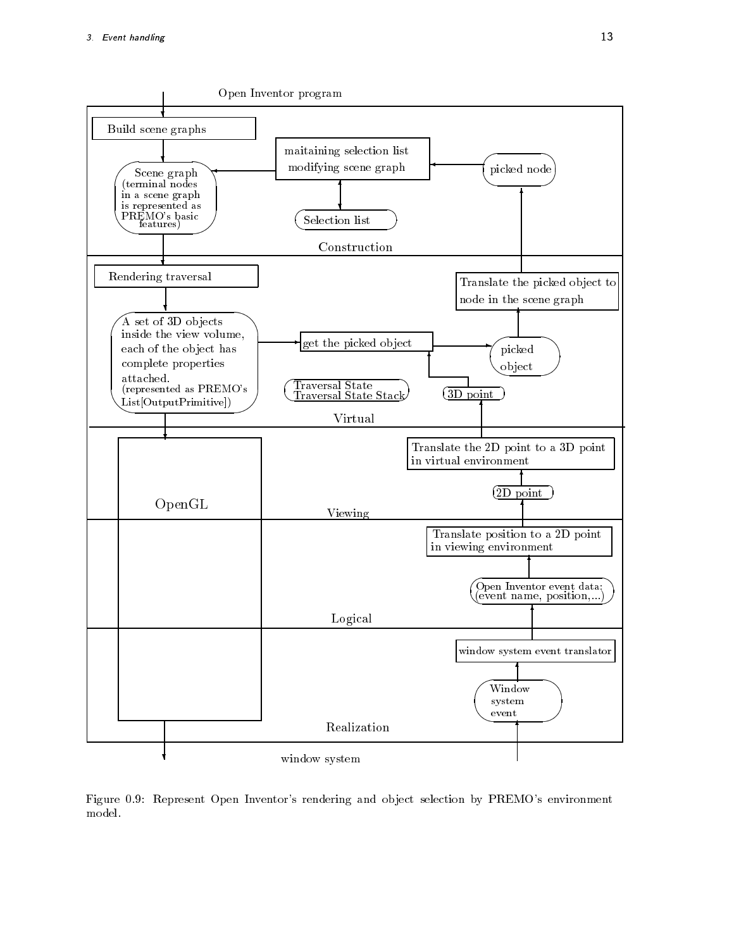

Figure 0.9: Represent Open Inventor's rendering and object selection by PREMO's environment model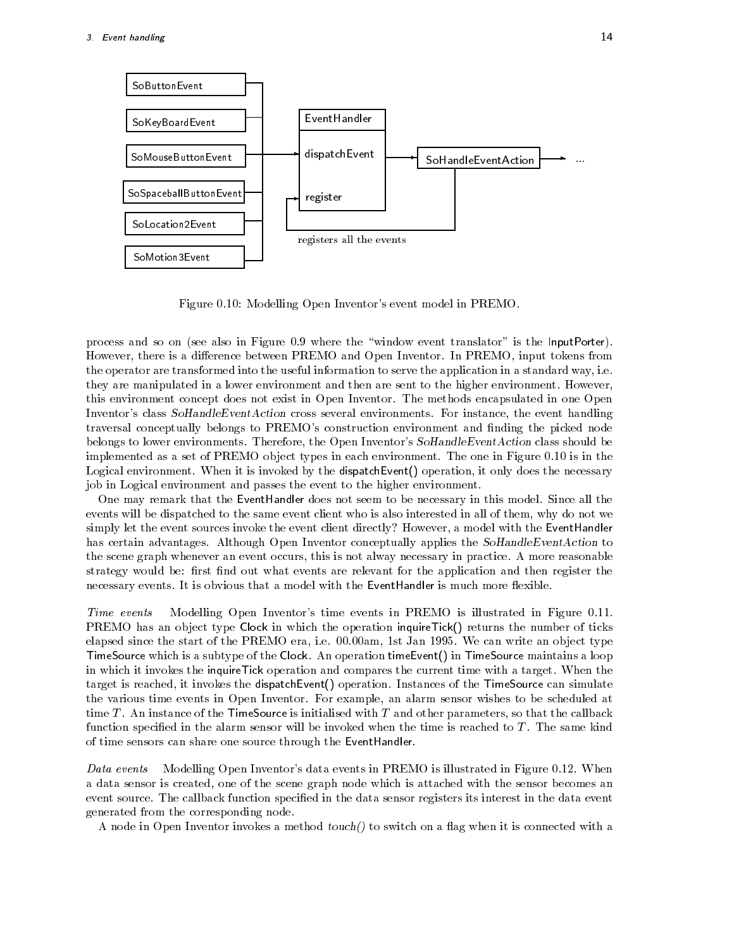

Figure 
- Modelling Open Inventors event model in PREMO

process and so on (see also in Figure 0.9 where the "window event translator" is the InputPorter). However, there is a difference between PREMO and Open Inventor. In PREMO, input tokens from the operator are transformed into the useful information to serve the application in a standard way, i.e. they are manipulated in a lower environment and then are sent to the higher environment. However, this environment concept does not exist in Open Inventor The methods encapsulated in one Open Inventor's class  $SoH and leEventAction$  cross several environments. For instance, the event handling traversal conceptually belongs to PREMO's construction environment and finding the picked node belongs to lower environments. Therefore, the Open Inventor's SoHandleEventAction class should be implemented as a set of PREMO ob ject types in each environment The one in Figure 
- is in the Logical environment. When it is invoked by the dispatch Event () operation, it only does the necessary job in Logical environment and passes the event to the higher environment

One may remark that the EventHandler does not seem to be necessary in this model Since all the events will be dispatched to the same event client who is also interested in all of them, why do not we simply let the event sources invoke the event client directly? However, a model with the EventHandler has certain advantages. Although Open Inventor conceptually applies the SoHandleEventAction to the scene graph whenever an event occurs this is not alway necessary in practice A more reasonable strategy would be: first find out what events are relevant for the application and then register the necessary events. It is obvious that a model with the EventHandler is much more flexible.

Time events Modelling Open Inventors time events in  $\mathbb{R}^n$ PREMO has an object type Clock in which the operation inquireTick() returns the number of ticks elapsed since the start of the Premote teny fill this independent that the theory file the start of pressure of TimeSource which is a subtype of the Clock. An operation timeEvent() in TimeSource maintains a loop in which it invokes the inquireTick operation and compares the current time with a target When the target is reached, it invokes the dispatch Event() operation. Instances of the TimeSource can simulate the various time events in Open Inventor. For example, an alarm sensor wishes to be scheduled at time T. An instance of the TimeSource is initialised with T and other parameters, so that the callback function specified in the alarm sensor will be invoked when the time is reached to  $T$ . The same kind of time sensors can share one source through the EventHandler

Data events Modelling Open Inventors data events in PREMO is illustrated in Figure 
- When a data sensor is created, one of the scene graph node which is attached with the sensor becomes an event source. The callback function specified in the data sensor registers its interest in the data event generated from the corresponding node

A node in Open Inventor invokes a method  $touch()$  to switch on a flag when it is connected with a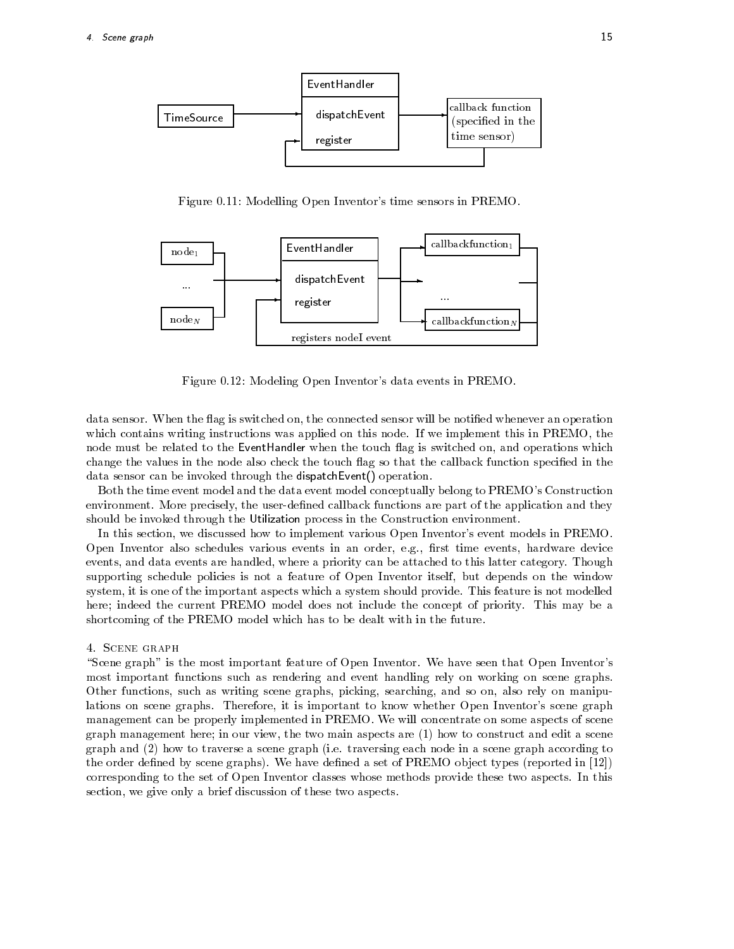

Figure 
-- Modelling Open Inventors time sensors in PREMO



Figure 
- Modeling Open Inventors data events in PREMO

data sensor. When the flag is switched on, the connected sensor will be notified whenever an operation which contains writing instructions was applied on this node. If we implement this in PREMO, the node must be related to the EventHandler when the touch flag is switched on, and operations which change the values in the node also check the touch flag so that the callback function specified in the data sensor can be invoked through the dispatch Event () operation.

Both the time event model and the data event model conceptually belong to PREMO's Construction environment. More precisely, the user-defined callback functions are part of the application and they should be invoked through the Utilization process in the Construction environment

In this section, we discussed how to implement various Open Inventor's event models in PREMO. Open Inventor also schedules various events in an order, e.g., first time events, hardware device events, and data events are handled, where a priority can be attached to this latter category. Though supporting schedule policies is not a feature of Open Inventor itself, but depends on the window system, it is one of the important aspects which a system should provide. This feature is not modelled here; indeed the current PREMO model does not include the concept of priority. This may be a shortcoming of the PREMO model which has to be dealt with in the future

"Scene graph" is the most important feature of Open Inventor. We have seen that Open Inventor's most important functions such as rendering and event handling rely on working on scene graphs Other functions, such as writing scene graphs, picking, searching, and so on, also rely on manipulations on scene graphs. Therefore, it is important to know whether Open Inventor's scene graph management can be properly implemented in PREMO
 We will concentrate on some aspects of scene graph management here in our view the two main aspects are - how to construct and edit a scene graph and  $(2)$  how to traverse a scene graph (i.e. traversing each node in a scene graph according to the order dened by scene graphs of PREMO observations and the proported in the proported in the contract types corresponding to the set of Open Inventor classes whose methods provide these two aspects In this section, we give only a brief discussion of these two aspects.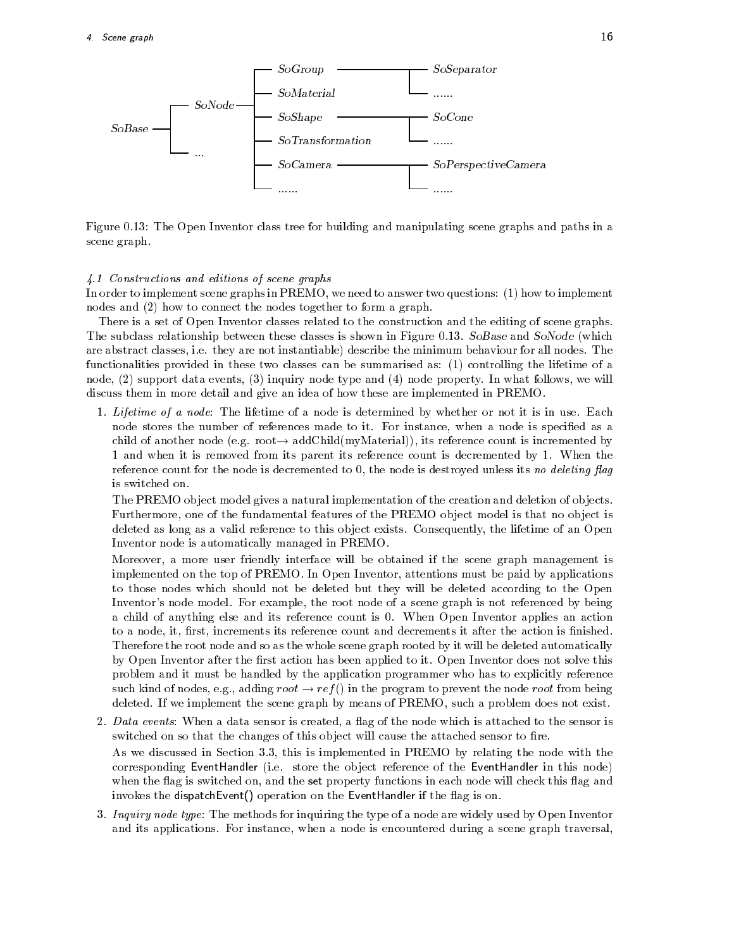

Figure 
- The Open Inventor class tree for building and manipulating scene graphs and paths in a scene graph

### $\blacksquare$  constructions and editions of scene graphs of scene graphs of scene graphs of scene graphs of scene graphs of scene graphs of scene graphs of scene graphs of scene graphs of scene graphs of scene graphs of scene gr

In order to implement scene graphs in PREMO we need to answer two questions - how to implement nodes and  $(2)$  how to connect the nodes together to form a graph.

There is a set of Open Inventor classes related to the construction and the editing of scene graphs The subclass relationship between these classes is shown in Figure . So  $\mathbf{N}$ are abstract classes, i.e. they are not instantiable) describe the minimum behaviour for all nodes. The functionalities provided in these two classes can be summarised as - controlling the lifetime of a node,  $(2)$  support data events,  $(3)$  inquiry node type and  $(4)$  node property. In what follows, we will discuss them in more detail and give an idea of how these are implemented in PREMO

- Lifetime of a node The lifetime of a node is determined by whether or not it is in use
Each node stores the number of references made to it. For instance, when a node is specified as a child of another node evaluation and additional countries in the count is incremented by an additional of the count is incremented by a count of the count is incremented by a count of the count of the count of the count of - and when it is removed from its parent its reference count is decremented by - When the reference count for the node is decremented to the node is destroyed unless its no deleting ag is switched on

The PREMO object model gives a natural implementation of the creation and deletion of objects. Furthermore, one of the fundamental features of the PREMO object model is that no object is deleted as long as a valid reference to this object exists. Consequently, the lifetime of an Open Inventor node is automatically managed in PREMO

Moreover a more user friendly interface will be obtained if the scene graph management is implemented on the top of PREMO
 In Open Inventor attentions must be paid by applications to those nodes which should not be deleted but they will be deleted according to the Open Inventor's node model. For example, the root node of a scene graph is not referenced by being a child of anything else and its reference count is 0. When Open Inventor applies an action to a node, it, first, increments its reference count and decrements it after the action is finished. Therefore the root node and so as the whole scene graph rooted by it will be deleted automatically by Open Inventor after the first action has been applied to it. Open Inventor does not solve this problem and it must be handled by the application programmer who has to explicitly reference such adding to an orong root of  $\alpha$  in the program to program to prove the node root from being  $\alpha$ deleted. If we implement the scene graph by means of PREMO, such a problem does not exist.

- 2. Data events: When a data sensor is created, a flag of the node which is attached to the sensor is switched on so that the changes of this object will cause the attached sensor to fire. As we discussed in Section 3.3, this is implemented in PREMO by relating the node with the corresponding EventHandler (i.e. store the object reference of the EventHandler in this node) when the flag is switched on, and the set property functions in each node will check this flag and invokes the dispatch Event () operation on the EventHandler if the flag is on.
- 3. Inquiry node type: The methods for inquiring the type of a node are widely used by Open Inventor and its applications. For instance, when a node is encountered during a scene graph traversal,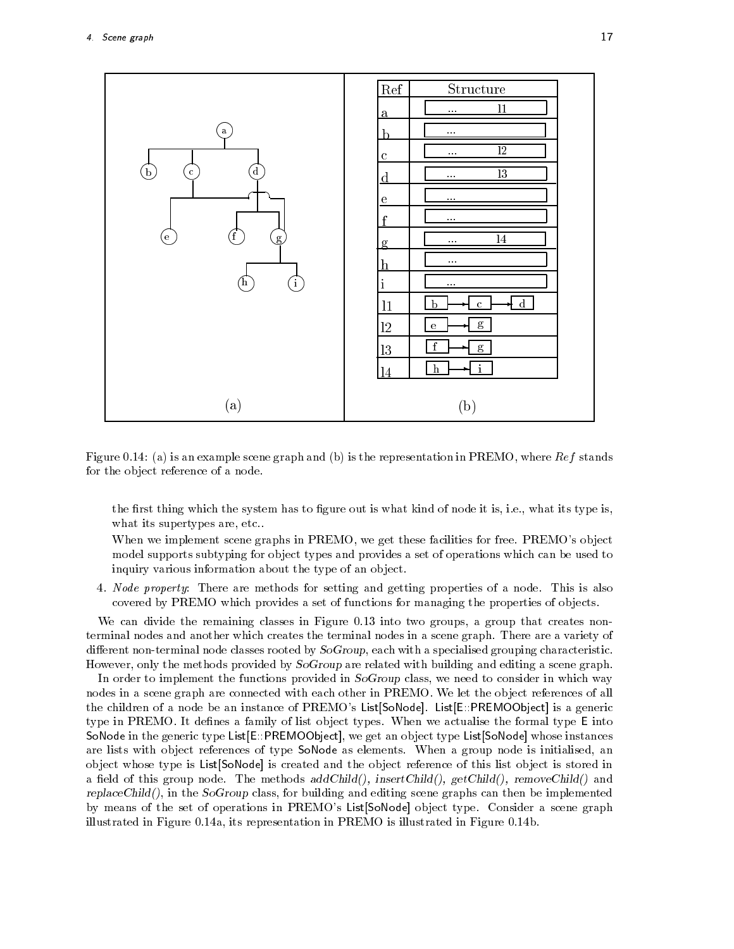

Figure 
- a is an example scene graph and b is the representation in PREMO where Ref stands for the object reference of a node.

the first thing which the system has to figure out is what kind of node it is, i.e., what its type is, what its supertypes are, etc..

When we implement scene graphs in PREMO, we get these facilities for free. PREMO's object model supports subtyping for object types and provides a set of operations which can be used to inquiry various information about the type of an object.

4. Node property: There are methods for setting and getting properties of a node. This is also covered by PREMO which provides a set of functions for managing the properties of objects.

we can divide the remaining classes in Figure ( ) and ( )  $\alpha$  ,  $\alpha$  and  $\alpha$  group that creates nonterminal nodes and another which creates the terminal nodes in a scene graph There are a variety of different non-terminal node classes rooted by  $SoGroup$ , each with a specialised grouping characteristic. However, only the methods provided by  $SoGroup$  are related with building and editing a scene graph.

In order to implement the functions provided in SoGroup class, we need to consider in which way nodes in a scene graph are connected with each other in PREMO. We let the object references of all the children of a node be an instance of PREMO's List[SoNode]. List[E::PREMOObject] is a generic type in PREMO. It defines a family of list object types. When we actualise the formal type E into SoNode in the generic type List[E::PREMOObject], we get an object type List[SoNode] whose instances are lists with object references of type SoNode as elements. When a group node is initialised, an object whose type is List[SoNode] is created and the object reference of this list object is stored in a field of this group node. The methods  $addChild()$ , insertChild $()$ ,  $getChild()$ , removeChild $()$  and  $replaceChild()$ , in the SoGroup class, for building and editing scene graphs can then be implemented by means of the set of operations in PREMO's List[SoNode] object type. Consider a scene graph illustrated in Figure 
-a its representation in PREMO is illustrated in Figure 
-b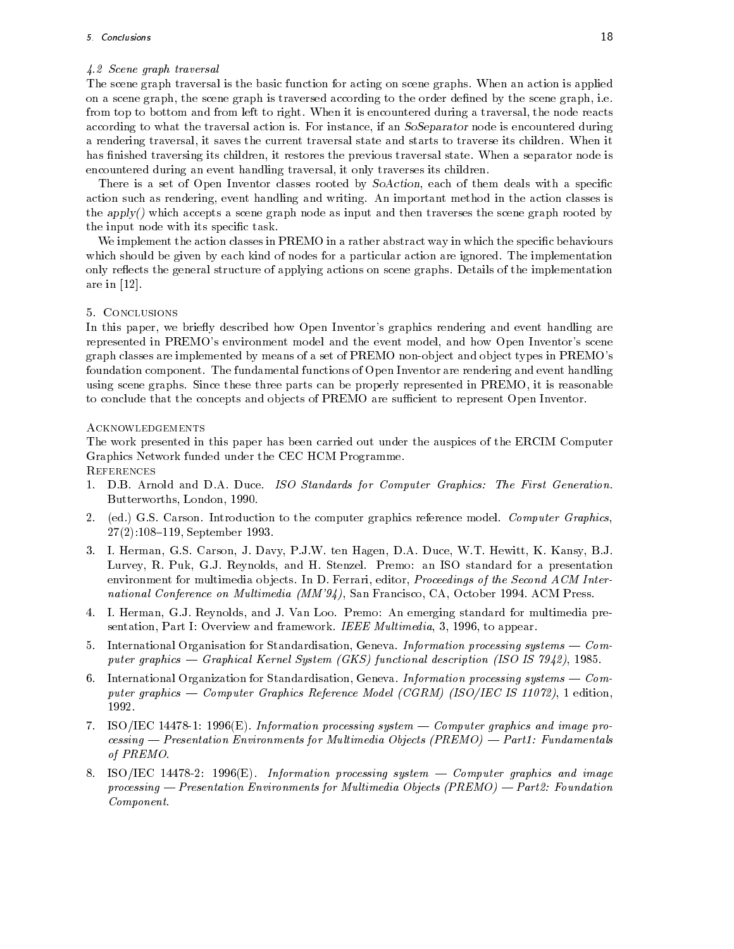# - Scene graph traversal

The scene graph traversal is the basic function for acting on scene graphs When an action is applied on a scene graph, the scene graph is traversed according to the order defined by the scene graph, i.e. from top to bottom and from left to right. When it is encountered during a traversal, the node reacts according to what the traversal action is. For instance, if an SoSeparator node is encountered during a rendering traversal it saves the current traversal state and starts to traverse its children When it has finished traversing its children, it restores the previous traversal state. When a separator node is encountered during an event handling traversal, it only traverses its children.

There is a set of Open Inventor classes rooted by SoAction, each of them deals with a specific action such as rendering, event handling and writing. An important method in the action classes is the apply() which accepts a scene graph node as input and then traverses the scene graph rooted by the input node with its specific task.

We implement the action classes in PREMO in a rather abstract way in which the specific behaviours which should be given by each kind of nodes for a particular action are ignored. The implementation only reflects the general structure of applying actions on scene graphs. Details of the implementation are in -

In this paper, we briefly described how Open Inventor's graphics rendering and event handling are represented in PREMO's environment model and the event model, and how Open Inventor's scene graph classes are implemented by means of a set of PREMO non-object and object types in PREMO's foundation component. The fundamental functions of Open Inventor are rendering and event handling using scene graphs Since these three parts can be properly represented in PREMO it is reasonable to conclude that the concepts and objects of PREMO are sufficient to represent Open Inventor.

# Acknowledgements

The work presented in this paper has been carried out under the auspices of the ERCIM Computer Graphics Network funded under the CEC HCM Programme **REFERENCES** 

- D
B Arnold and D
A Duce ISO Standards for Computer Graphics The First Generation Butterworths London -
- 2. (ed.) G.S. Carson. Introduction to the computer graphics reference model. Computer Graphics, --- September -
- 3. I. Herman, G.S. Carson, J. Davy, P.J.W. ten Hagen, D.A. Duce, W.T. Hewitt, K. Kansy, B.J. Lurvey, R. Puk, G.J. Reynolds, and H. Stenzel. Premo: an ISO standard for a presentation environment for multimedia objects. In D. Ferrari, editor, *Proceedings of the Second ACM Inter*national Conference on Multimedia MM 
 San Francisco CA October - ACM Press
- 4. I. Herman, G.J. Reynolds, and J. Van Loo. Premo: An emerging standard for multimedia presentation Part I Overview and framework IEEE Multimedia - to appear
- 5. International Organisation for Standardisation, Geneva. Information processing systems Computer graphics - Craphical Cernel System (Cernel ) punction acception (Cernel Sec. 1997) – Creation - ISO ISO
- 6. International Organization for Standardisation, Geneva. Information processing systems  $\sim$  Computer graphics computer computer and computer and computer  $\mathcal{C}$  is a computer of  $\mathcal{C}$  . The computer of
- ISOIEC -- -E Information processing system Computer graphics and image pro  $c \lessdot n$ g — Presentation Environments for Multimedia Objects (PREMO) — Part 1: Fundamentals of PREMO
- ISO Extending system and information processing system and information processing and image of the system of processing — Presentation Environments for Multimedia Objects  $(PREMO)$  — Part 2: Foundation Component